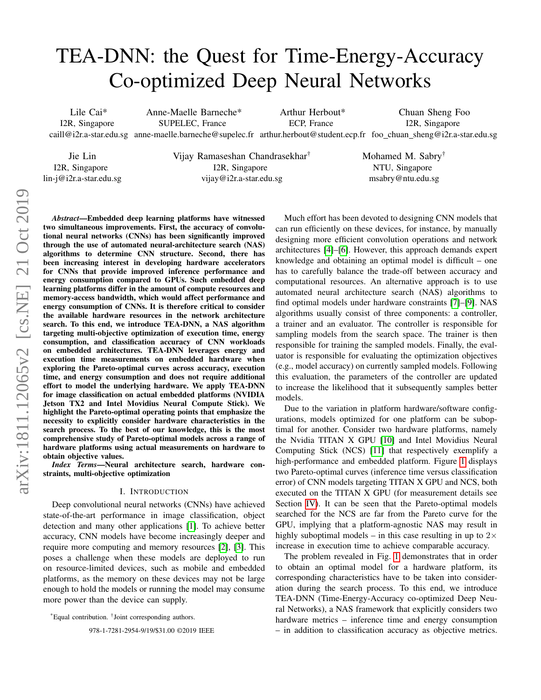# TEA-DNN: the Quest for Time-Energy-Accuracy Co-optimized Deep Neural Networks

Lile Cai\* I2R, Singapore caill@i2r.a-star.edu.sg anne-maelle.barneche@supelec.fr arthur.herbout@student.ecp.fr foo chuan sheng@i2r.a-star.edu.sg Anne-Maelle Barneche\* SUPELEC, France Arthur Herbout\* ECP, France Chuan Sheng Foo I2R, Singapore

Jie Lin I2R, Singapore lin-j@i2r.a-star.edu.sg Vijay Ramaseshan Chandrasekhar† I2R, Singapore vijay@i2r.a-star.edu.sg

Mohamed M. Sabry† NTU, Singapore msabry@ntu.edu.sg

*Abstract*—Embedded deep learning platforms have witnessed two simultaneous improvements. First, the accuracy of convolutional neural networks (CNNs) has been significantly improved through the use of automated neural-architecture search (NAS) algorithms to determine CNN structure. Second, there has been increasing interest in developing hardware accelerators for CNNs that provide improved inference performance and energy consumption compared to GPUs. Such embedded deep learning platforms differ in the amount of compute resources and memory-access bandwidth, which would affect performance and energy consumption of CNNs. It is therefore critical to consider the available hardware resources in the network architecture search. To this end, we introduce TEA-DNN, a NAS algorithm targeting multi-objective optimization of execution time, energy consumption, and classification accuracy of CNN workloads on embedded architectures. TEA-DNN leverages energy and execution time measurements on embedded hardware when exploring the Pareto-optimal curves across accuracy, execution time, and energy consumption and does not require additional effort to model the underlying hardware. We apply TEA-DNN for image classification on actual embedded platforms (NVIDIA Jetson TX2 and Intel Movidius Neural Compute Stick). We highlight the Pareto-optimal operating points that emphasize the necessity to explicitly consider hardware characteristics in the search process. To the best of our knowledge, this is the most comprehensive study of Pareto-optimal models across a range of hardware platforms using actual measurements on hardware to obtain objective values.

*Index Terms*—Neural architecture search, hardware constraints, multi-objective optimization

#### I. INTRODUCTION

Deep convolutional neural networks (CNNs) have achieved state-of-the-art performance in image classification, object detection and many other applications [\[1\]](#page-5-0). To achieve better accuracy, CNN models have become increasingly deeper and require more computing and memory resources [\[2\]](#page-5-1), [\[3\]](#page-5-2). This poses a challenge when these models are deployed to run on resource-limited devices, such as mobile and embedded platforms, as the memory on these devices may not be large enough to hold the models or running the model may consume more power than the device can supply.

\*Equal contribution. † Joint corresponding authors.

Much effort has been devoted to designing CNN models that can run efficiently on these devices, for instance, by manually designing more efficient convolution operations and network architectures [\[4\]](#page-5-3)–[\[6\]](#page-5-4). However, this approach demands expert knowledge and obtaining an optimal model is difficult – one has to carefully balance the trade-off between accuracy and computational resources. An alternative approach is to use automated neural architecture search (NAS) algorithms to find optimal models under hardware constraints [\[7\]](#page-5-5)–[\[9\]](#page-5-6). NAS algorithms usually consist of three components: a controller, a trainer and an evaluator. The controller is responsible for sampling models from the search space. The trainer is then responsible for training the sampled models. Finally, the evaluator is responsible for evaluating the optimization objectives (e.g., model accuracy) on currently sampled models. Following this evaluation, the parameters of the controller are updated to increase the likelihood that it subsequently samples better models.

Due to the variation in platform hardware/software configurations, models optimized for one platform can be suboptimal for another. Consider two hardware platforms, namely the Nvidia TITAN X GPU [\[10\]](#page-5-7) and Intel Movidius Neural Computing Stick (NCS) [\[11\]](#page-5-8) that respectively exemplify a high-performance and embedded platform. Figure [1](#page-1-0) displays two Pareto-optimal curves (inference time versus classification error) of CNN models targeting TITAN X GPU and NCS, both executed on the TITAN X GPU (for measurement details see Section [IV\)](#page-2-0). It can be seen that the Pareto-optimal models searched for the NCS are far from the Pareto curve for the GPU, implying that a platform-agnostic NAS may result in highly suboptimal models – in this case resulting in up to  $2\times$ increase in execution time to achieve comparable accuracy.

The problem revealed in Fig. [1](#page-1-0) demonstrates that in order to obtain an optimal model for a hardware platform, its corresponding characteristics have to be taken into consideration during the search process. To this end, we introduce TEA-DNN (Time-Energy-Accuracy co-optimized Deep Neural Networks), a NAS framework that explicitly considers two hardware metrics – inference time and energy consumption 978-1-7281-2954-9/19/\$31.00 ©2019 IEEE – in addition to classification accuracy as objective metrics.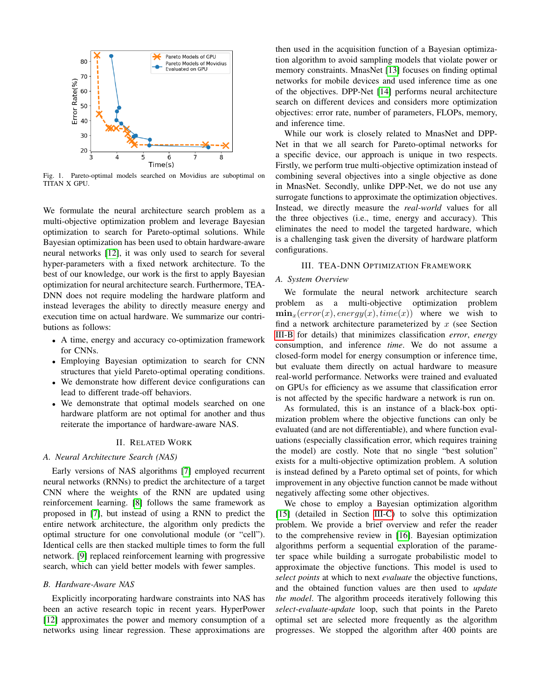

<span id="page-1-0"></span>Fig. 1. Pareto-optimal models searched on Movidius are suboptimal on TITAN X GPU.

We formulate the neural architecture search problem as a multi-objective optimization problem and leverage Bayesian optimization to search for Pareto-optimal solutions. While Bayesian optimization has been used to obtain hardware-aware neural networks [\[12\]](#page-5-9), it was only used to search for several hyper-parameters with a fixed network architecture. To the best of our knowledge, our work is the first to apply Bayesian optimization for neural architecture search. Furthermore, TEA-DNN does not require modeling the hardware platform and instead leverages the ability to directly measure energy and execution time on actual hardware. We summarize our contributions as follows:

- A time, energy and accuracy co-optimization framework for CNNs.
- Employing Bayesian optimization to search for CNN structures that yield Pareto-optimal operating conditions.
- We demonstrate how different device configurations can lead to different trade-off behaviors.
- We demonstrate that optimal models searched on one hardware platform are not optimal for another and thus reiterate the importance of hardware-aware NAS.

# II. RELATED WORK

# *A. Neural Architecture Search (NAS)*

Early versions of NAS algorithms [\[7\]](#page-5-5) employed recurrent neural networks (RNNs) to predict the architecture of a target CNN where the weights of the RNN are updated using reinforcement learning. [\[8\]](#page-5-10) follows the same framework as proposed in [\[7\]](#page-5-5), but instead of using a RNN to predict the entire network architecture, the algorithm only predicts the optimal structure for one convolutional module (or "cell"). Identical cells are then stacked multiple times to form the full network. [\[9\]](#page-5-6) replaced reinforcement learning with progressive search, which can yield better models with fewer samples.

# *B. Hardware-Aware NAS*

Explicitly incorporating hardware constraints into NAS has been an active research topic in recent years. HyperPower [\[12\]](#page-5-9) approximates the power and memory consumption of a networks using linear regression. These approximations are then used in the acquisition function of a Bayesian optimization algorithm to avoid sampling models that violate power or memory constraints. MnasNet [\[13\]](#page-5-11) focuses on finding optimal networks for mobile devices and used inference time as one of the objectives. DPP-Net [\[14\]](#page-5-12) performs neural architecture search on different devices and considers more optimization objectives: error rate, number of parameters, FLOPs, memory, and inference time.

While our work is closely related to MnasNet and DPP-Net in that we all search for Pareto-optimal networks for a specific device, our approach is unique in two respects. Firstly, we perform true multi-objective optimization instead of combining several objectives into a single objective as done in MnasNet. Secondly, unlike DPP-Net, we do not use any surrogate functions to approximate the optimization objectives. Instead, we directly measure the *real-world* values for all the three objectives (i.e., time, energy and accuracy). This eliminates the need to model the targeted hardware, which is a challenging task given the diversity of hardware platform configurations.

#### III. TEA-DNN OPTIMIZATION FRAMEWORK

# *A. System Overview*

We formulate the neural network architecture search problem as a multi-objective optimization problem  $\min_x(\text{error}(x), \text{energy}(x), \text{time}(x))$  where we wish to find a network architecture parameterized by  $x$  (see Section [III-B](#page-2-1) for details) that minimizes classification *error*, *energy* consumption, and inference *time*. We do not assume a closed-form model for energy consumption or inference time, but evaluate them directly on actual hardware to measure real-world performance. Networks were trained and evaluated on GPUs for efficiency as we assume that classification error is not affected by the specific hardware a network is run on.

As formulated, this is an instance of a black-box optimization problem where the objective functions can only be evaluated (and are not differentiable), and where function evaluations (especially classification error, which requires training the model) are costly. Note that no single "best solution" exists for a multi-objective optimization problem. A solution is instead defined by a Pareto optimal set of points, for which improvement in any objective function cannot be made without negatively affecting some other objectives.

We chose to employ a Bayesian optimization algorithm [\[15\]](#page-5-13) (detailed in Section [III-C\)](#page-2-2) to solve this optimization problem. We provide a brief overview and refer the reader to the comprehensive review in [\[16\]](#page-5-14). Bayesian optimization algorithms perform a sequential exploration of the parameter space while building a surrogate probabilistic model to approximate the objective functions. This model is used to *select points* at which to next *evaluate* the objective functions, and the obtained function values are then used to *update the model*. The algorithm proceeds iteratively following this *select-evaluate-update* loop, such that points in the Pareto optimal set are selected more frequently as the algorithm progresses. We stopped the algorithm after 400 points are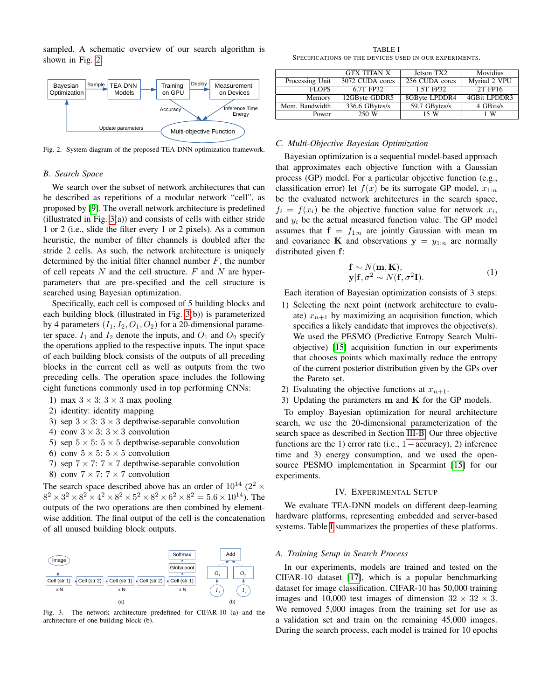sampled. A schematic overview of our search algorithm is shown in Fig. [2.](#page-2-3)



<span id="page-2-3"></span>Fig. 2. System diagram of the proposed TEA-DNN optimization framework.

### <span id="page-2-1"></span>*B. Search Space*

We search over the subset of network architectures that can be described as repetitions of a modular network "cell", as proposed by [\[9\]](#page-5-6). The overall network architecture is predefined (illustrated in Fig. [3\(](#page-2-4)a)) and consists of cells with either stride 1 or 2 (i.e., slide the filter every 1 or 2 pixels). As a common heuristic, the number of filter channels is doubled after the stride 2 cells. As such, the network architecture is uniquely determined by the initial filter channel number  $F$ , the number of cell repeats  $N$  and the cell structure.  $F$  and  $N$  are hyperparameters that are pre-specified and the cell structure is searched using Bayesian optimization.

Specifically, each cell is composed of 5 building blocks and each building block (illustrated in Fig. [3\(](#page-2-4)b)) is parameterized by 4 parameters  $(I_1, I_2, O_1, O_2)$  for a 20-dimensional parameter space.  $I_1$  and  $I_2$  denote the inputs, and  $O_1$  and  $O_2$  specify the operations applied to the respective inputs. The input space of each building block consists of the outputs of all preceding blocks in the current cell as well as outputs from the two preceding cells. The operation space includes the following eight functions commonly used in top performing CNNs:

- 1) max  $3 \times 3$ :  $3 \times 3$  max pooling
- 2) identity: identity mapping
- 3) sep  $3 \times 3$ :  $3 \times 3$  depthwise-separable convolution
- 4) conv  $3 \times 3$ :  $3 \times 3$  convolution
- 5) sep  $5 \times 5$ :  $5 \times 5$  depthwise-separable convolution
- 6) conv  $5 \times 5$ :  $5 \times 5$  convolution
- 7) sep  $7 \times 7$ :  $7 \times 7$  depthwise-separable convolution
- 8) conv  $7 \times 7$ :  $7 \times 7$  convolution

The search space described above has an order of  $10^{14}$  ( $2^2$   $\times$  $8^2 \times 3^2 \times 8^2 \times 4^2 \times 8^2 \times 5^2 \times 8^2 \times 6^2 \times 8^2 = 5.6 \times 10^{14}$ ). The outputs of the two operations are then combined by elementwise addition. The final output of the cell is the concatenation of all unused building block outputs.



<span id="page-2-4"></span>Fig. 3. The network architecture predefined for CIFAR-10 (a) and the architecture of one building block (b).

TABLE I SPECIFICATIONS OF THE DEVICES USED IN OUR EXPERIMENTS.

<span id="page-2-5"></span>

|                 | <b>GTX TITAN X</b> | Jetson TX2     | Movidius     |
|-----------------|--------------------|----------------|--------------|
| Processing Unit | 3072 CUDA cores    | 256 CUDA cores | Myriad 2 VPU |
| <b>FLOPS</b>    | 6.7T FP32          | 1.5T FP32      | 2T FP16      |
| Memory          | 12GByte GDDR5      | 8GByte LPDDR4  | 4GBit LPDDR3 |
| Mem. Bandwidth  | 336.6 GBytes/s     | 59.7 GBytes/s  | 4 GBits/s    |
| Power           | 250 W              | 15 W           | W            |

#### <span id="page-2-2"></span>*C. Multi-Objective Bayesian Optimization*

Bayesian optimization is a sequential model-based approach that approximates each objective function with a Gaussian process (GP) model. For a particular objective function (e.g., classification error) let  $f(x)$  be its surrogate GP model,  $x_{1:n}$ be the evaluated network architectures in the search space,  $f_i = f(x_i)$  be the objective function value for network  $x_i$ , and  $y_i$  be the actual measured function value. The GP model assumes that  $f = f_{1:n}$  are jointly Gaussian with mean m and covariance K and observations  $y = y_{1:n}$  are normally distributed given f:

$$
\mathbf{f} \sim N(\mathbf{m}, \mathbf{K}),
$$
  
\n
$$
\mathbf{y}|\mathbf{f}, \sigma^2 \sim N(\mathbf{f}, \sigma^2 \mathbf{I}).
$$
 (1)

Each iteration of Bayesian optimization consists of 3 steps:

- 1) Selecting the next point (network architecture to evaluate)  $x_{n+1}$  by maximizing an acquisition function, which specifies a likely candidate that improves the objective(s). We used the PESMO (Predictive Entropy Search Multiobjective) [\[15\]](#page-5-13) acquisition function in our experiments that chooses points which maximally reduce the entropy of the current posterior distribution given by the GPs over the Pareto set.
- 2) Evaluating the objective functions at  $x_{n+1}$ .
- 3) Updating the parameters  $m$  and  $K$  for the GP models.

To employ Bayesian optimization for neural architecture search, we use the 20-dimensional parameterization of the search space as described in Section [III-B.](#page-2-1) Our three objective functions are the 1) error rate (i.e.,  $1 - \text{accuracy}$ ), 2) inference time and 3) energy consumption, and we used the opensource PESMO implementation in Spearmint [\[15\]](#page-5-13) for our experiments.

## IV. EXPERIMENTAL SETUP

<span id="page-2-0"></span>We evaluate TEA-DNN models on different deep-learning hardware platforms, representing embedded and server-based systems. Table [I](#page-2-5) summarizes the properties of these platforms.

#### *A. Training Setup in Search Process*

In our experiments, models are trained and tested on the CIFAR-10 dataset [\[17\]](#page-5-15), which is a popular benchmarking dataset for image classification. CIFAR-10 has 50,000 training images and 10,000 test images of dimension  $32 \times 32 \times 3$ . We removed 5,000 images from the training set for use as a validation set and train on the remaining 45,000 images. During the search process, each model is trained for 10 epochs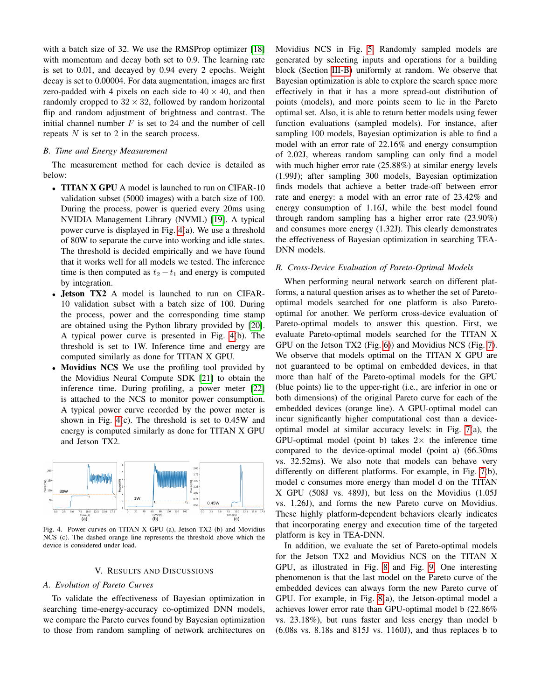with a batch size of 32. We use the RMSProp optimizer [\[18\]](#page-5-16) with momentum and decay both set to 0.9. The learning rate is set to 0.01, and decayed by 0.94 every 2 epochs. Weight decay is set to 0.00004. For data augmentation, images are first zero-padded with 4 pixels on each side to  $40 \times 40$ , and then randomly cropped to  $32 \times 32$ , followed by random horizontal flip and random adjustment of brightness and contrast. The initial channel number  $F$  is set to 24 and the number of cell repeats  $N$  is set to 2 in the search process.

# *B. Time and Energy Measurement*

The measurement method for each device is detailed as below:

- TITAN X GPU A model is launched to run on CIFAR-10 validation subset (5000 images) with a batch size of 100. During the process, power is queried every 20ms using NVIDIA Management Library (NVML) [\[19\]](#page-5-17). A typical power curve is displayed in Fig. [4\(](#page-3-0)a). We use a threshold of 80W to separate the curve into working and idle states. The threshold is decided empirically and we have found that it works well for all models we tested. The inference time is then computed as  $t_2 - t_1$  and energy is computed by integration.
- **Jetson TX2** A model is launched to run on CIFAR-10 validation subset with a batch size of 100. During the process, power and the corresponding time stamp are obtained using the Python library provided by [\[20\]](#page-5-18). A typical power curve is presented in Fig. [4\(](#page-3-0)b). The threshold is set to 1W. Inference time and energy are computed similarly as done for TITAN X GPU.
- Movidius NCS We use the profiling tool provided by the Movidius Neural Compute SDK [\[21\]](#page-5-19) to obtain the inference time. During profiling, a power meter [\[22\]](#page-5-20) is attached to the NCS to monitor power consumption. A typical power curve recorded by the power meter is shown in Fig. [4\(](#page-3-0)c). The threshold is set to 0.45W and energy is computed similarly as done for TITAN X GPU and Jetson TX2.



<span id="page-3-0"></span>Fig. 4. Power curves on TITAN X GPU (a), Jetson TX2 (b) and Movidius NCS (c). The dashed orange line represents the threshold above which the device is considered under load.

#### V. RESULTS AND DISCUSSIONS

#### *A. Evolution of Pareto Curves*

To validate the effectiveness of Bayesian optimization in searching time-energy-accuracy co-optimized DNN models, we compare the Pareto curves found by Bayesian optimization to those from random sampling of network architectures on Movidius NCS in Fig. [5.](#page-4-0) Randomly sampled models are generated by selecting inputs and operations for a building block (Section [III-B\)](#page-2-1) uniformly at random. We observe that Bayesian optimization is able to explore the search space more effectively in that it has a more spread-out distribution of points (models), and more points seem to lie in the Pareto optimal set. Also, it is able to return better models using fewer function evaluations (sampled models). For instance, after sampling 100 models, Bayesian optimization is able to find a model with an error rate of 22.16% and energy consumption of 2.02J, whereas random sampling can only find a model with much higher error rate (25.88%) at similar energy levels (1.99J); after sampling 300 models, Bayesian optimization finds models that achieve a better trade-off between error rate and energy: a model with an error rate of 23.42% and energy consumption of 1.16J, while the best model found through random sampling has a higher error rate (23.90%) and consumes more energy (1.32J). This clearly demonstrates the effectiveness of Bayesian optimization in searching TEA-DNN models.

# *B. Cross-Device Evaluation of Pareto-Optimal Models*

When performing neural network search on different platforms, a natural question arises as to whether the set of Paretooptimal models searched for one platform is also Paretooptimal for another. We perform cross-device evaluation of Pareto-optimal models to answer this question. First, we evaluate Pareto-optimal models searched for the TITAN X GPU on the Jetson TX2 (Fig. [6\)](#page-4-1)) and Movidius NCS (Fig. [7\)](#page-4-2). We observe that models optimal on the TITAN X GPU are not guaranteed to be optimal on embedded devices, in that more than half of the Pareto-optimal models for the GPU (blue points) lie to the upper-right (i.e., are inferior in one or both dimensions) of the original Pareto curve for each of the embedded devices (orange line). A GPU-optimal model can incur significantly higher computational cost than a deviceoptimal model at similar accuracy levels: in Fig. [7\(](#page-4-2)a), the GPU-optimal model (point b) takes  $2 \times$  the inference time compared to the device-optimal model (point a) (66.30ms vs. 32.52ms). We also note that models can behave very differently on different platforms. For example, in Fig. [7\(](#page-4-2)b), model c consumes more energy than model d on the TITAN X GPU (508J vs. 489J), but less on the Movidius (1.05J vs. 1.26J), and forms the new Pareto curve on Movidius. These highly platform-dependent behaviors clearly indicates that incorporating energy and execution time of the targeted platform is key in TEA-DNN.

In addition, we evaluate the set of Pareto-optimal models for the Jetson TX2 and Movidius NCS on the TITAN X GPU, as illustrated in Fig. [8](#page-4-3) and Fig. [9.](#page-4-4) One interesting phenomenon is that the last model on the Pareto curve of the embedded devices can always form the new Pareto curve of GPU. For example, in Fig. [8\(](#page-4-3)a), the Jetson-optimal model a achieves lower error rate than GPU-optimal model b (22.86% vs. 23.18%), but runs faster and less energy than model b  $(6.08s$  vs.  $8.18s$  and  $815J$  vs.  $1160J$ , and thus replaces b to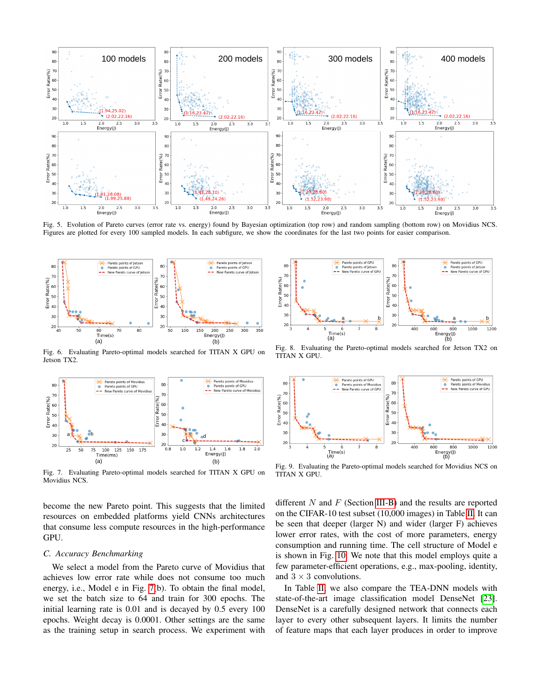

<span id="page-4-0"></span>Fig. 5. Evolution of Pareto curves (error rate vs. energy) found by Bayesian optimization (top row) and random sampling (bottom row) on Movidius NCS. Figures are plotted for every 100 sampled models. In each subfigure, we show the coordinates for the last two points for easier comparison.



<span id="page-4-1"></span>Fig. 6. Evaluating Pareto-optimal models searched for TITAN X GPU on Jetson TX2.



<span id="page-4-2"></span>Fig. 7. Evaluating Pareto-optimal models searched for TITAN X GPU on Movidius NCS.

become the new Pareto point. This suggests that the limited resources on embedded platforms yield CNNs architectures that consume less compute resources in the high-performance GPU.

## *C. Accuracy Benchmarking*

We select a model from the Pareto curve of Movidius that achieves low error rate while does not consume too much energy, i.e., Model e in Fig. [7\(](#page-4-2)b). To obtain the final model, we set the batch size to 64 and train for 300 epochs. The initial learning rate is 0.01 and is decayed by 0.5 every 100 epochs. Weight decay is 0.0001. Other settings are the same as the training setup in search process. We experiment with



<span id="page-4-3"></span>Fig. 8. Evaluating the Pareto-optimal models searched for Jetson TX2 on TITAN X GPU.



<span id="page-4-4"></span>Fig. 9. Evaluating the Pareto-optimal models searched for Movidius NCS on TITAN X GPU.

different N and  $F$  (Section [III-B\)](#page-2-1) and the results are reported on the CIFAR-10 test subset (10,000 images) in Table [II.](#page-5-21) It can be seen that deeper (larger N) and wider (larger F) achieves lower error rates, with the cost of more parameters, energy consumption and running time. The cell structure of Model e is shown in Fig. [10.](#page-5-22) We note that this model employs quite a few parameter-efficient operations, e.g., max-pooling, identity, and  $3 \times 3$  convolutions.

In Table [II,](#page-5-21) we also compare the TEA-DNN models with state-of-the-art image classification model DenseNet [\[23\]](#page-5-23). DenseNet is a carefully designed network that connects each layer to every other subsequent layers. It limits the number of feature maps that each layer produces in order to improve